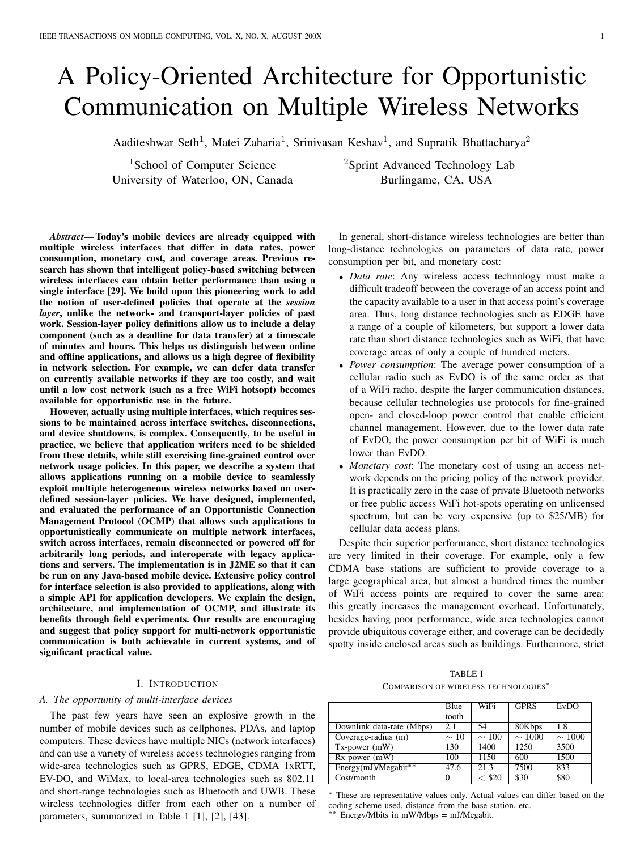# A Policy-Oriented Architecture for Opportunistic Communication on Multiple Wireless Networks

Aaditeshwar Seth<sup>1</sup>, Matei Zaharia<sup>1</sup>, Srinivasan Keshav<sup>1</sup>, and Supratik Bhattacharya<sup>2</sup>

University of Waterloo, ON, Canada Burlingame, CA, USA

<sup>1</sup>School of Computer Science <sup>2</sup>Sprint Advanced Technology Lab

*Abstract*— Today's mobile devices are already equipped with multiple wireless interfaces that differ in data rates, power consumption, monetary cost, and coverage areas. Previous research has shown that intelligent policy-based switching between wireless interfaces can obtain better performance than using a single interface [29]. We build upon this pioneering work to add the notion of user-defined policies that operate at the *session* layer, unlike the network- and transport-layer policies of past work. Session-layer policy definitions allow us to include a delay component (such as a deadline for data transfer) at a timescale of minutes and hours. This helps us distinguish between online and offline applications, and allows us a high degree of flexibility in network selection. For example, we can defer data transfer on currently available networks if they are too costly, and wait until a low cost network (such as a free WiFi hotsopt) becomes available for opportunistic use in the future.

However, actually using multiple interfaces, which requires sessions to be maintained across interface switches, disconnections, and device shutdowns, is complex. Consequently, to be useful in practice, we believe that application writers need to be shielded from these details, while still exercising fine-grained control over network usage policies. In this paper, we describe a system that allows applications running on a mobile device to seamlessly exploit multiple heterogeneous wireless networks based on userdefined session-layer policies. We have designed, implemented, and evaluated the performance of an Opportunistic Connection Management Protocol (OCMP) that allows such applications to opportunistically communicate on multiple network interfaces, switch across interfaces, remain disconnected or powered off for arbitrarily long periods, and interoperate with legacy applications and servers. The implementation is in J2ME so that it can be run on any Java-based mobile device. Extensive policy control for interface selection is also provided to applications, along with a simple API for application developers. We explain the design, architecture, and implementation of OCMP, and illustrate its benefits through field experiments. Our results are encouraging and suggest that policy support for multi-network opportunistic communication is both achievable in current systems, and of significant practical value.

# I. INTRODUCTION

## *A. The opportunity of multi-interface devices*

The past few years have seen an explosive growth in the number of mobile devices such as cellphones, PDAs, and laptop computers. These devices have multiple NICs (network interfaces) and can use a variety of wireless access technologies ranging from wide-area technologies such as GPRS, EDGE, CDMA 1xRTT, EV-DO, and WiMax, to local-area technologies such as 802.11 and short-range technologies such as Bluetooth and UWB. These wireless technologies differ from each other on a number of parameters, summarized in Table 1 [1], [2], [43].

In general, short-distance wireless technologies are better than long-distance technologies on parameters of data rate, power consumption per bit, and monetary cost:

- *Data rate*: Any wireless access technology must make a difficult tradeoff between the coverage of an access point and the capacity available to a user in that access point's coverage area. Thus, long distance technologies such as EDGE have a range of a couple of kilometers, but support a lower data rate than short distance technologies such as WiFi, that have coverage areas of only a couple of hundred meters.
- *Power consumption*: The average power consumption of a cellular radio such as EvDO is of the same order as that of a WiFi radio, despite the larger communication distances, because cellular technologies use protocols for fine-grained open- and closed-loop power control that enable efficient channel management. However, due to the lower data rate of EvDO, the power consumption per bit of WiFi is much lower than EvDO.
- *Monetary cost*: The monetary cost of using an access network depends on the pricing policy of the network provider. It is practically zero in the case of private Bluetooth networks or free public access WiFi hot-spots operating on unlicensed spectrum, but can be very expensive (up to \$25/MB) for cellular data access plans.

Despite their superior performance, short distance technologies are very limited in their coverage. For example, only a few CDMA base stations are sufficient to provide coverage to a large geographical area, but almost a hundred times the number of WiFi access points are required to cover the same area: this greatly increases the management overhead. Unfortunately, besides having poor performance, wide area technologies cannot provide ubiquitous coverage either, and coverage can be decidedly spotty inside enclosed areas such as buildings. Furthermore, strict

|                                      | TABLE I |  |
|--------------------------------------|---------|--|
| COMPARISON OF WIRELESS TECHNOLOGIES* |         |  |

|                           | Blue-     | WiFi        | <b>GPRS</b> | <b>EvDO</b> |
|---------------------------|-----------|-------------|-------------|-------------|
|                           | tooth     |             |             |             |
| Downlink data-rate (Mbps) | 2.1       | 54          | 80Kbps      | 1.8         |
| Coverage-radius (m)       | $\sim$ 10 | $\sim$ 100  | $\sim 1000$ | $\sim$ 1000 |
| $Tx$ -power $(mW)$        | 130       | 1400        | 1250        | 3500        |
| $Rx$ -power $(mW)$        | 100       | 1150        | 600         | 1500        |
| Energy(mJ)/Megabit**      | 47.6      | 21.3        | 7500        | 833         |
| Cost/month                | $\theta$  | $\sim$ \$20 | \$30        | \$80        |

<sup>∗</sup> These are representative values only. Actual values can differ based on the coding scheme used, distance from the base station, etc. ∗∗ Energy/Mbits in mW/Mbps = mJ/Megabit.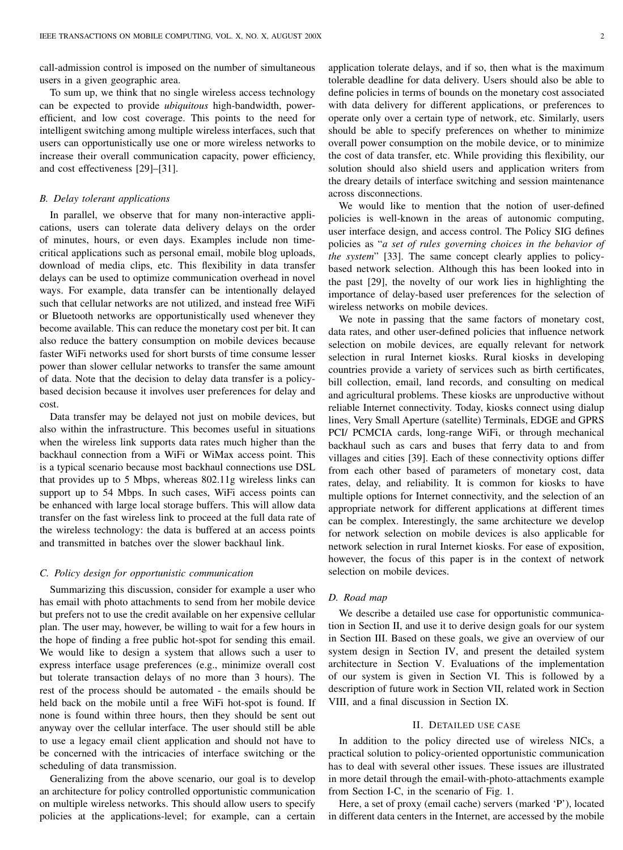call-admission control is imposed on the number of simultaneous users in a given geographic area.

To sum up, we think that no single wireless access technology can be expected to provide *ubiquitous* high-bandwidth, powerefficient, and low cost coverage. This points to the need for intelligent switching among multiple wireless interfaces, such that users can opportunistically use one or more wireless networks to increase their overall communication capacity, power efficiency, and cost effectiveness [29]–[31].

# *B. Delay tolerant applications*

In parallel, we observe that for many non-interactive applications, users can tolerate data delivery delays on the order of minutes, hours, or even days. Examples include non timecritical applications such as personal email, mobile blog uploads, download of media clips, etc. This flexibility in data transfer delays can be used to optimize communication overhead in novel ways. For example, data transfer can be intentionally delayed such that cellular networks are not utilized, and instead free WiFi or Bluetooth networks are opportunistically used whenever they become available. This can reduce the monetary cost per bit. It can also reduce the battery consumption on mobile devices because faster WiFi networks used for short bursts of time consume lesser power than slower cellular networks to transfer the same amount of data. Note that the decision to delay data transfer is a policybased decision because it involves user preferences for delay and cost.

Data transfer may be delayed not just on mobile devices, but also within the infrastructure. This becomes useful in situations when the wireless link supports data rates much higher than the backhaul connection from a WiFi or WiMax access point. This is a typical scenario because most backhaul connections use DSL that provides up to 5 Mbps, whereas 802.11g wireless links can support up to 54 Mbps. In such cases, WiFi access points can be enhanced with large local storage buffers. This will allow data transfer on the fast wireless link to proceed at the full data rate of the wireless technology: the data is buffered at an access points and transmitted in batches over the slower backhaul link.

### *C. Policy design for opportunistic communication*

Summarizing this discussion, consider for example a user who has email with photo attachments to send from her mobile device but prefers not to use the credit available on her expensive cellular plan. The user may, however, be willing to wait for a few hours in the hope of finding a free public hot-spot for sending this email. We would like to design a system that allows such a user to express interface usage preferences (e.g., minimize overall cost but tolerate transaction delays of no more than 3 hours). The rest of the process should be automated - the emails should be held back on the mobile until a free WiFi hot-spot is found. If none is found within three hours, then they should be sent out anyway over the cellular interface. The user should still be able to use a legacy email client application and should not have to be concerned with the intricacies of interface switching or the scheduling of data transmission.

Generalizing from the above scenario, our goal is to develop an architecture for policy controlled opportunistic communication on multiple wireless networks. This should allow users to specify policies at the applications-level; for example, can a certain application tolerate delays, and if so, then what is the maximum tolerable deadline for data delivery. Users should also be able to define policies in terms of bounds on the monetary cost associated with data delivery for different applications, or preferences to operate only over a certain type of network, etc. Similarly, users should be able to specify preferences on whether to minimize overall power consumption on the mobile device, or to minimize the cost of data transfer, etc. While providing this flexibility, our solution should also shield users and application writers from the dreary details of interface switching and session maintenance across disconnections.

We would like to mention that the notion of user-defined policies is well-known in the areas of autonomic computing, user interface design, and access control. The Policy SIG defines policies as "*a set of rules governing choices in the behavior of the system*" [33]. The same concept clearly applies to policybased network selection. Although this has been looked into in the past [29], the novelty of our work lies in highlighting the importance of delay-based user preferences for the selection of wireless networks on mobile devices.

We note in passing that the same factors of monetary cost, data rates, and other user-defined policies that influence network selection on mobile devices, are equally relevant for network selection in rural Internet kiosks. Rural kiosks in developing countries provide a variety of services such as birth certificates, bill collection, email, land records, and consulting on medical and agricultural problems. These kiosks are unproductive without reliable Internet connectivity. Today, kiosks connect using dialup lines, Very Small Aperture (satellite) Terminals, EDGE and GPRS PCI/ PCMCIA cards, long-range WiFi, or through mechanical backhaul such as cars and buses that ferry data to and from villages and cities [39]. Each of these connectivity options differ from each other based of parameters of monetary cost, data rates, delay, and reliability. It is common for kiosks to have multiple options for Internet connectivity, and the selection of an appropriate network for different applications at different times can be complex. Interestingly, the same architecture we develop for network selection on mobile devices is also applicable for network selection in rural Internet kiosks. For ease of exposition, however, the focus of this paper is in the context of network selection on mobile devices.

# *D. Road map*

We describe a detailed use case for opportunistic communication in Section II, and use it to derive design goals for our system in Section III. Based on these goals, we give an overview of our system design in Section IV, and present the detailed system architecture in Section V. Evaluations of the implementation of our system is given in Section VI. This is followed by a description of future work in Section VII, related work in Section VIII, and a final discussion in Section IX.

# II. DETAILED USE CASE

In addition to the policy directed use of wireless NICs, a practical solution to policy-oriented opportunistic communication has to deal with several other issues. These issues are illustrated in more detail through the email-with-photo-attachments example from Section I-C, in the scenario of Fig. 1.

Here, a set of proxy (email cache) servers (marked 'P'), located in different data centers in the Internet, are accessed by the mobile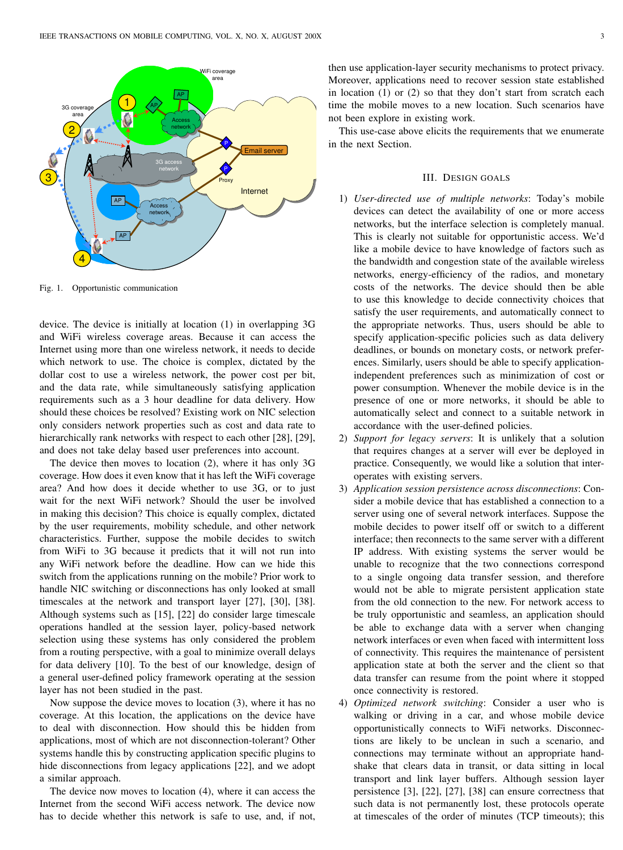

Fig. 1. Opportunistic communication

device. The device is initially at location (1) in overlapping 3G and WiFi wireless coverage areas. Because it can access the Internet using more than one wireless network, it needs to decide which network to use. The choice is complex, dictated by the dollar cost to use a wireless network, the power cost per bit, and the data rate, while simultaneously satisfying application requirements such as a 3 hour deadline for data delivery. How should these choices be resolved? Existing work on NIC selection only considers network properties such as cost and data rate to hierarchically rank networks with respect to each other [28], [29], and does not take delay based user preferences into account.

The device then moves to location (2), where it has only 3G coverage. How does it even know that it has left the WiFi coverage area? And how does it decide whether to use 3G, or to just wait for the next WiFi network? Should the user be involved in making this decision? This choice is equally complex, dictated by the user requirements, mobility schedule, and other network characteristics. Further, suppose the mobile decides to switch from WiFi to 3G because it predicts that it will not run into any WiFi network before the deadline. How can we hide this switch from the applications running on the mobile? Prior work to handle NIC switching or disconnections has only looked at small timescales at the network and transport layer [27], [30], [38]. Although systems such as [15], [22] do consider large timescale operations handled at the session layer, policy-based network selection using these systems has only considered the problem from a routing perspective, with a goal to minimize overall delays for data delivery [10]. To the best of our knowledge, design of a general user-defined policy framework operating at the session layer has not been studied in the past.

Now suppose the device moves to location (3), where it has no coverage. At this location, the applications on the device have to deal with disconnection. How should this be hidden from applications, most of which are not disconnection-tolerant? Other systems handle this by constructing application specific plugins to hide disconnections from legacy applications [22], and we adopt a similar approach.

The device now moves to location (4), where it can access the Internet from the second WiFi access network. The device now has to decide whether this network is safe to use, and, if not,

then use application-layer security mechanisms to protect privacy. Moreover, applications need to recover session state established in location (1) or (2) so that they don't start from scratch each time the mobile moves to a new location. Such scenarios have not been explore in existing work.

This use-case above elicits the requirements that we enumerate in the next Section.

### III. DESIGN GOALS

- 1) *User-directed use of multiple networks*: Today's mobile devices can detect the availability of one or more access networks, but the interface selection is completely manual. This is clearly not suitable for opportunistic access. We'd like a mobile device to have knowledge of factors such as the bandwidth and congestion state of the available wireless networks, energy-efficiency of the radios, and monetary costs of the networks. The device should then be able to use this knowledge to decide connectivity choices that satisfy the user requirements, and automatically connect to the appropriate networks. Thus, users should be able to specify application-specific policies such as data delivery deadlines, or bounds on monetary costs, or network preferences. Similarly, users should be able to specify applicationindependent preferences such as minimization of cost or power consumption. Whenever the mobile device is in the presence of one or more networks, it should be able to automatically select and connect to a suitable network in accordance with the user-defined policies.
- 2) *Support for legacy servers*: It is unlikely that a solution that requires changes at a server will ever be deployed in practice. Consequently, we would like a solution that interoperates with existing servers.
- 3) *Application session persistence across disconnections*: Consider a mobile device that has established a connection to a server using one of several network interfaces. Suppose the mobile decides to power itself off or switch to a different interface; then reconnects to the same server with a different IP address. With existing systems the server would be unable to recognize that the two connections correspond to a single ongoing data transfer session, and therefore would not be able to migrate persistent application state from the old connection to the new. For network access to be truly opportunistic and seamless, an application should be able to exchange data with a server when changing network interfaces or even when faced with intermittent loss of connectivity. This requires the maintenance of persistent application state at both the server and the client so that data transfer can resume from the point where it stopped once connectivity is restored.
- 4) *Optimized network switching*: Consider a user who is walking or driving in a car, and whose mobile device opportunistically connects to WiFi networks. Disconnections are likely to be unclean in such a scenario, and connections may terminate without an appropriate handshake that clears data in transit, or data sitting in local transport and link layer buffers. Although session layer persistence [3], [22], [27], [38] can ensure correctness that such data is not permanently lost, these protocols operate at timescales of the order of minutes (TCP timeouts); this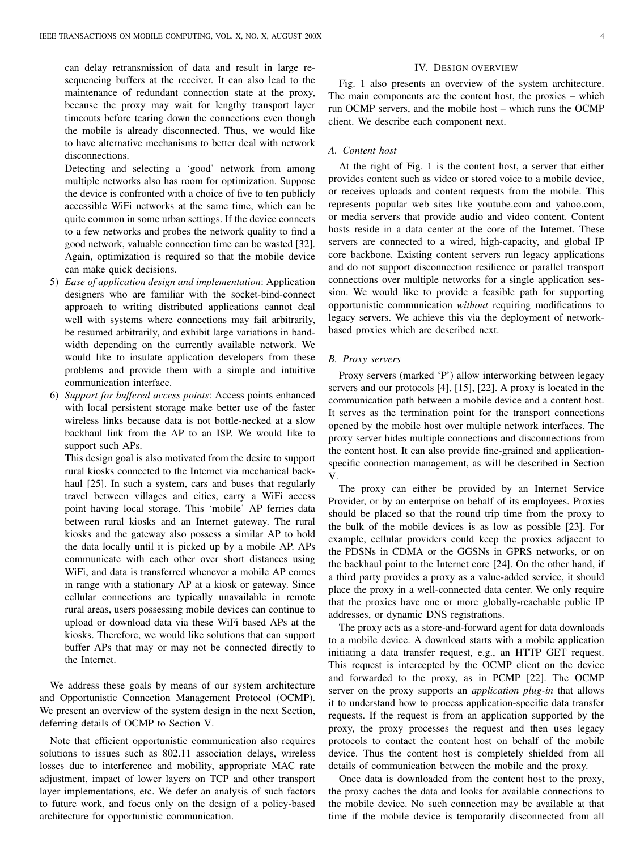can delay retransmission of data and result in large resequencing buffers at the receiver. It can also lead to the maintenance of redundant connection state at the proxy, because the proxy may wait for lengthy transport layer timeouts before tearing down the connections even though the mobile is already disconnected. Thus, we would like to have alternative mechanisms to better deal with network disconnections.

Detecting and selecting a 'good' network from among multiple networks also has room for optimization. Suppose the device is confronted with a choice of five to ten publicly accessible WiFi networks at the same time, which can be quite common in some urban settings. If the device connects to a few networks and probes the network quality to find a good network, valuable connection time can be wasted [32]. Again, optimization is required so that the mobile device can make quick decisions.

- 5) *Ease of application design and implementation*: Application designers who are familiar with the socket-bind-connect approach to writing distributed applications cannot deal well with systems where connections may fail arbitrarily, be resumed arbitrarily, and exhibit large variations in bandwidth depending on the currently available network. We would like to insulate application developers from these problems and provide them with a simple and intuitive communication interface.
- 6) *Support for buffered access points*: Access points enhanced with local persistent storage make better use of the faster wireless links because data is not bottle-necked at a slow backhaul link from the AP to an ISP. We would like to support such APs.

This design goal is also motivated from the desire to support rural kiosks connected to the Internet via mechanical backhaul [25]. In such a system, cars and buses that regularly travel between villages and cities, carry a WiFi access point having local storage. This 'mobile' AP ferries data between rural kiosks and an Internet gateway. The rural kiosks and the gateway also possess a similar AP to hold the data locally until it is picked up by a mobile AP. APs communicate with each other over short distances using WiFi, and data is transferred whenever a mobile AP comes in range with a stationary AP at a kiosk or gateway. Since cellular connections are typically unavailable in remote rural areas, users possessing mobile devices can continue to upload or download data via these WiFi based APs at the kiosks. Therefore, we would like solutions that can support buffer APs that may or may not be connected directly to the Internet.

We address these goals by means of our system architecture and Opportunistic Connection Management Protocol (OCMP). We present an overview of the system design in the next Section, deferring details of OCMP to Section V.

Note that efficient opportunistic communication also requires solutions to issues such as 802.11 association delays, wireless losses due to interference and mobility, appropriate MAC rate adjustment, impact of lower layers on TCP and other transport layer implementations, etc. We defer an analysis of such factors to future work, and focus only on the design of a policy-based architecture for opportunistic communication.

#### IV. DESIGN OVERVIEW

Fig. 1 also presents an overview of the system architecture. The main components are the content host, the proxies – which run OCMP servers, and the mobile host – which runs the OCMP client. We describe each component next.

# *A. Content host*

At the right of Fig. 1 is the content host, a server that either provides content such as video or stored voice to a mobile device, or receives uploads and content requests from the mobile. This represents popular web sites like youtube.com and yahoo.com, or media servers that provide audio and video content. Content hosts reside in a data center at the core of the Internet. These servers are connected to a wired, high-capacity, and global IP core backbone. Existing content servers run legacy applications and do not support disconnection resilience or parallel transport connections over multiple networks for a single application session. We would like to provide a feasible path for supporting opportunistic communication *without* requiring modifications to legacy servers. We achieve this via the deployment of networkbased proxies which are described next.

#### *B. Proxy servers*

Proxy servers (marked 'P') allow interworking between legacy servers and our protocols [4], [15], [22]. A proxy is located in the communication path between a mobile device and a content host. It serves as the termination point for the transport connections opened by the mobile host over multiple network interfaces. The proxy server hides multiple connections and disconnections from the content host. It can also provide fine-grained and applicationspecific connection management, as will be described in Section V.

The proxy can either be provided by an Internet Service Provider, or by an enterprise on behalf of its employees. Proxies should be placed so that the round trip time from the proxy to the bulk of the mobile devices is as low as possible [23]. For example, cellular providers could keep the proxies adjacent to the PDSNs in CDMA or the GGSNs in GPRS networks, or on the backhaul point to the Internet core [24]. On the other hand, if a third party provides a proxy as a value-added service, it should place the proxy in a well-connected data center. We only require that the proxies have one or more globally-reachable public IP addresses, or dynamic DNS registrations.

The proxy acts as a store-and-forward agent for data downloads to a mobile device. A download starts with a mobile application initiating a data transfer request, e.g., an HTTP GET request. This request is intercepted by the OCMP client on the device and forwarded to the proxy, as in PCMP [22]. The OCMP server on the proxy supports an *application plug-in* that allows it to understand how to process application-specific data transfer requests. If the request is from an application supported by the proxy, the proxy processes the request and then uses legacy protocols to contact the content host on behalf of the mobile device. Thus the content host is completely shielded from all details of communication between the mobile and the proxy.

Once data is downloaded from the content host to the proxy, the proxy caches the data and looks for available connections to the mobile device. No such connection may be available at that time if the mobile device is temporarily disconnected from all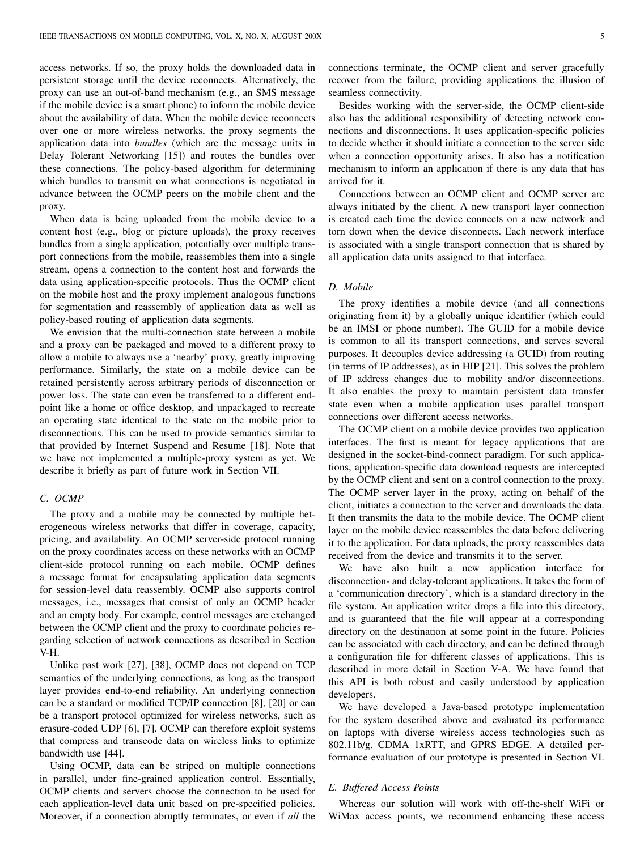access networks. If so, the proxy holds the downloaded data in persistent storage until the device reconnects. Alternatively, the proxy can use an out-of-band mechanism (e.g., an SMS message if the mobile device is a smart phone) to inform the mobile device about the availability of data. When the mobile device reconnects over one or more wireless networks, the proxy segments the application data into *bundles* (which are the message units in Delay Tolerant Networking [15]) and routes the bundles over these connections. The policy-based algorithm for determining which bundles to transmit on what connections is negotiated in advance between the OCMP peers on the mobile client and the proxy.

When data is being uploaded from the mobile device to a content host (e.g., blog or picture uploads), the proxy receives bundles from a single application, potentially over multiple transport connections from the mobile, reassembles them into a single stream, opens a connection to the content host and forwards the data using application-specific protocols. Thus the OCMP client on the mobile host and the proxy implement analogous functions for segmentation and reassembly of application data as well as policy-based routing of application data segments.

We envision that the multi-connection state between a mobile and a proxy can be packaged and moved to a different proxy to allow a mobile to always use a 'nearby' proxy, greatly improving performance. Similarly, the state on a mobile device can be retained persistently across arbitrary periods of disconnection or power loss. The state can even be transferred to a different endpoint like a home or office desktop, and unpackaged to recreate an operating state identical to the state on the mobile prior to disconnections. This can be used to provide semantics similar to that provided by Internet Suspend and Resume [18]. Note that we have not implemented a multiple-proxy system as yet. We describe it briefly as part of future work in Section VII.

#### *C. OCMP*

The proxy and a mobile may be connected by multiple heterogeneous wireless networks that differ in coverage, capacity, pricing, and availability. An OCMP server-side protocol running on the proxy coordinates access on these networks with an OCMP client-side protocol running on each mobile. OCMP defines a message format for encapsulating application data segments for session-level data reassembly. OCMP also supports control messages, i.e., messages that consist of only an OCMP header and an empty body. For example, control messages are exchanged between the OCMP client and the proxy to coordinate policies regarding selection of network connections as described in Section V-H.

Unlike past work [27], [38], OCMP does not depend on TCP semantics of the underlying connections, as long as the transport layer provides end-to-end reliability. An underlying connection can be a standard or modified TCP/IP connection [8], [20] or can be a transport protocol optimized for wireless networks, such as erasure-coded UDP [6], [7]. OCMP can therefore exploit systems that compress and transcode data on wireless links to optimize bandwidth use [44].

Using OCMP, data can be striped on multiple connections in parallel, under fine-grained application control. Essentially, OCMP clients and servers choose the connection to be used for each application-level data unit based on pre-specified policies. Moreover, if a connection abruptly terminates, or even if *all* the

connections terminate, the OCMP client and server gracefully recover from the failure, providing applications the illusion of seamless connectivity.

Besides working with the server-side, the OCMP client-side also has the additional responsibility of detecting network connections and disconnections. It uses application-specific policies to decide whether it should initiate a connection to the server side when a connection opportunity arises. It also has a notification mechanism to inform an application if there is any data that has arrived for it.

Connections between an OCMP client and OCMP server are always initiated by the client. A new transport layer connection is created each time the device connects on a new network and torn down when the device disconnects. Each network interface is associated with a single transport connection that is shared by all application data units assigned to that interface.

# *D. Mobile*

The proxy identifies a mobile device (and all connections originating from it) by a globally unique identifier (which could be an IMSI or phone number). The GUID for a mobile device is common to all its transport connections, and serves several purposes. It decouples device addressing (a GUID) from routing (in terms of IP addresses), as in HIP [21]. This solves the problem of IP address changes due to mobility and/or disconnections. It also enables the proxy to maintain persistent data transfer state even when a mobile application uses parallel transport connections over different access networks.

The OCMP client on a mobile device provides two application interfaces. The first is meant for legacy applications that are designed in the socket-bind-connect paradigm. For such applications, application-specific data download requests are intercepted by the OCMP client and sent on a control connection to the proxy. The OCMP server layer in the proxy, acting on behalf of the client, initiates a connection to the server and downloads the data. It then transmits the data to the mobile device. The OCMP client layer on the mobile device reassembles the data before delivering it to the application. For data uploads, the proxy reassembles data received from the device and transmits it to the server.

We have also built a new application interface for disconnection- and delay-tolerant applications. It takes the form of a 'communication directory', which is a standard directory in the file system. An application writer drops a file into this directory, and is guaranteed that the file will appear at a corresponding directory on the destination at some point in the future. Policies can be associated with each directory, and can be defined through a configuration file for different classes of applications. This is described in more detail in Section V-A. We have found that this API is both robust and easily understood by application developers.

We have developed a Java-based prototype implementation for the system described above and evaluated its performance on laptops with diverse wireless access technologies such as 802.11b/g, CDMA 1xRTT, and GPRS EDGE. A detailed performance evaluation of our prototype is presented in Section VI.

#### *E. Buffered Access Points*

Whereas our solution will work with off-the-shelf WiFi or WiMax access points, we recommend enhancing these access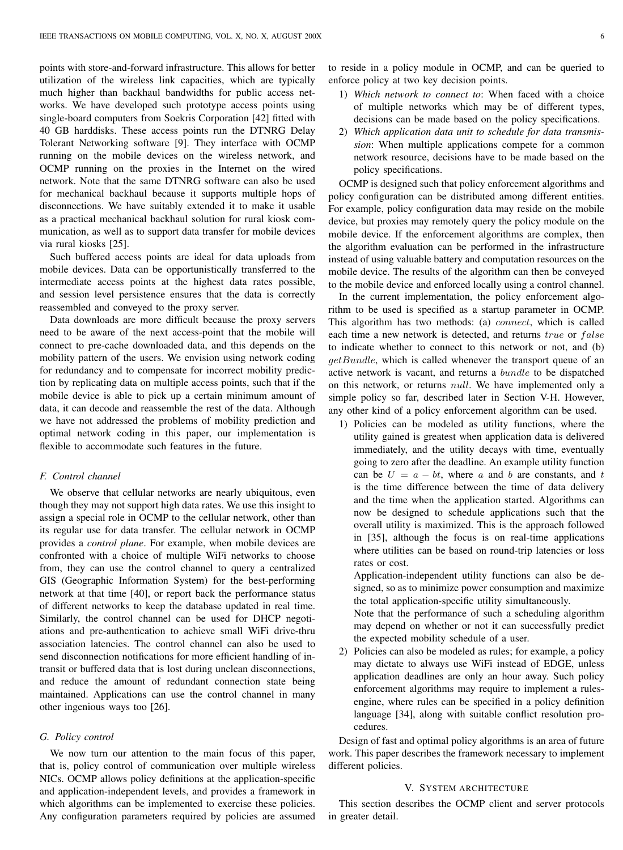points with store-and-forward infrastructure. This allows for better utilization of the wireless link capacities, which are typically much higher than backhaul bandwidths for public access networks. We have developed such prototype access points using single-board computers from Soekris Corporation [42] fitted with 40 GB harddisks. These access points run the DTNRG Delay Tolerant Networking software [9]. They interface with OCMP running on the mobile devices on the wireless network, and OCMP running on the proxies in the Internet on the wired network. Note that the same DTNRG software can also be used for mechanical backhaul because it supports multiple hops of disconnections. We have suitably extended it to make it usable as a practical mechanical backhaul solution for rural kiosk communication, as well as to support data transfer for mobile devices via rural kiosks [25].

Such buffered access points are ideal for data uploads from mobile devices. Data can be opportunistically transferred to the intermediate access points at the highest data rates possible, and session level persistence ensures that the data is correctly reassembled and conveyed to the proxy server.

Data downloads are more difficult because the proxy servers need to be aware of the next access-point that the mobile will connect to pre-cache downloaded data, and this depends on the mobility pattern of the users. We envision using network coding for redundancy and to compensate for incorrect mobility prediction by replicating data on multiple access points, such that if the mobile device is able to pick up a certain minimum amount of data, it can decode and reassemble the rest of the data. Although we have not addressed the problems of mobility prediction and optimal network coding in this paper, our implementation is flexible to accommodate such features in the future.

## *F. Control channel*

We observe that cellular networks are nearly ubiquitous, even though they may not support high data rates. We use this insight to assign a special role in OCMP to the cellular network, other than its regular use for data transfer. The cellular network in OCMP provides a *control plane*. For example, when mobile devices are confronted with a choice of multiple WiFi networks to choose from, they can use the control channel to query a centralized GIS (Geographic Information System) for the best-performing network at that time [40], or report back the performance status of different networks to keep the database updated in real time. Similarly, the control channel can be used for DHCP negotiations and pre-authentication to achieve small WiFi drive-thru association latencies. The control channel can also be used to send disconnection notifications for more efficient handling of intransit or buffered data that is lost during unclean disconnections, and reduce the amount of redundant connection state being maintained. Applications can use the control channel in many other ingenious ways too [26].

## *G. Policy control*

We now turn our attention to the main focus of this paper, that is, policy control of communication over multiple wireless NICs. OCMP allows policy definitions at the application-specific and application-independent levels, and provides a framework in which algorithms can be implemented to exercise these policies. Any configuration parameters required by policies are assumed

to reside in a policy module in OCMP, and can be queried to enforce policy at two key decision points.

- 1) *Which network to connect to*: When faced with a choice of multiple networks which may be of different types, decisions can be made based on the policy specifications.
- 2) *Which application data unit to schedule for data transmission*: When multiple applications compete for a common network resource, decisions have to be made based on the policy specifications.

OCMP is designed such that policy enforcement algorithms and policy configuration can be distributed among different entities. For example, policy configuration data may reside on the mobile device, but proxies may remotely query the policy module on the mobile device. If the enforcement algorithms are complex, then the algorithm evaluation can be performed in the infrastructure instead of using valuable battery and computation resources on the mobile device. The results of the algorithm can then be conveyed to the mobile device and enforced locally using a control channel.

In the current implementation, the policy enforcement algorithm to be used is specified as a startup parameter in OCMP. This algorithm has two methods: (a) connect, which is called each time a new network is detected, and returns true or false to indicate whether to connect to this network or not, and (b)  $qetBundle$ , which is called whenever the transport queue of an active network is vacant, and returns a bundle to be dispatched on this network, or returns null. We have implemented only a simple policy so far, described later in Section V-H. However, any other kind of a policy enforcement algorithm can be used.

1) Policies can be modeled as utility functions, where the utility gained is greatest when application data is delivered immediately, and the utility decays with time, eventually going to zero after the deadline. An example utility function can be  $U = a - bt$ , where a and b are constants, and t is the time difference between the time of data delivery and the time when the application started. Algorithms can now be designed to schedule applications such that the overall utility is maximized. This is the approach followed in [35], although the focus is on real-time applications where utilities can be based on round-trip latencies or loss rates or cost.

Application-independent utility functions can also be designed, so as to minimize power consumption and maximize the total application-specific utility simultaneously.

Note that the performance of such a scheduling algorithm may depend on whether or not it can successfully predict the expected mobility schedule of a user.

2) Policies can also be modeled as rules; for example, a policy may dictate to always use WiFi instead of EDGE, unless application deadlines are only an hour away. Such policy enforcement algorithms may require to implement a rulesengine, where rules can be specified in a policy definition language [34], along with suitable conflict resolution procedures.

Design of fast and optimal policy algorithms is an area of future work. This paper describes the framework necessary to implement different policies.

#### V. SYSTEM ARCHITECTURE

This section describes the OCMP client and server protocols in greater detail.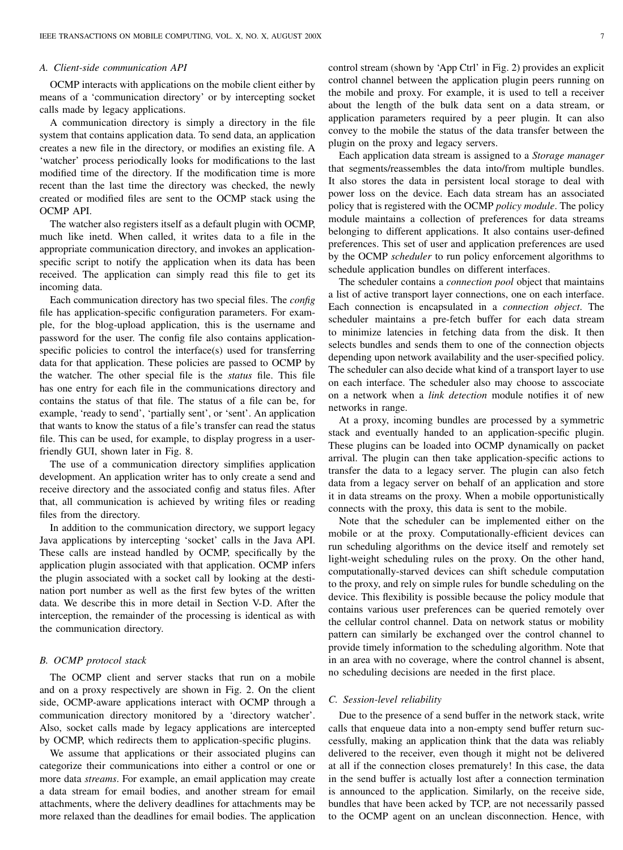## *A. Client-side communication API*

OCMP interacts with applications on the mobile client either by means of a 'communication directory' or by intercepting socket calls made by legacy applications.

A communication directory is simply a directory in the file system that contains application data. To send data, an application creates a new file in the directory, or modifies an existing file. A 'watcher' process periodically looks for modifications to the last modified time of the directory. If the modification time is more recent than the last time the directory was checked, the newly created or modified files are sent to the OCMP stack using the OCMP API.

The watcher also registers itself as a default plugin with OCMP, much like inetd. When called, it writes data to a file in the appropriate communication directory, and invokes an applicationspecific script to notify the application when its data has been received. The application can simply read this file to get its incoming data.

Each communication directory has two special files. The *config* file has application-specific configuration parameters. For example, for the blog-upload application, this is the username and password for the user. The config file also contains applicationspecific policies to control the interface(s) used for transferring data for that application. These policies are passed to OCMP by the watcher. The other special file is the *status* file. This file has one entry for each file in the communications directory and contains the status of that file. The status of a file can be, for example, 'ready to send', 'partially sent', or 'sent'. An application that wants to know the status of a file's transfer can read the status file. This can be used, for example, to display progress in a userfriendly GUI, shown later in Fig. 8.

The use of a communication directory simplifies application development. An application writer has to only create a send and receive directory and the associated config and status files. After that, all communication is achieved by writing files or reading files from the directory.

In addition to the communication directory, we support legacy Java applications by intercepting 'socket' calls in the Java API. These calls are instead handled by OCMP, specifically by the application plugin associated with that application. OCMP infers the plugin associated with a socket call by looking at the destination port number as well as the first few bytes of the written data. We describe this in more detail in Section V-D. After the interception, the remainder of the processing is identical as with the communication directory.

## *B. OCMP protocol stack*

The OCMP client and server stacks that run on a mobile and on a proxy respectively are shown in Fig. 2. On the client side, OCMP-aware applications interact with OCMP through a communication directory monitored by a 'directory watcher'. Also, socket calls made by legacy applications are intercepted by OCMP, which redirects them to application-specific plugins.

We assume that applications or their associated plugins can categorize their communications into either a control or one or more data *streams*. For example, an email application may create a data stream for email bodies, and another stream for email attachments, where the delivery deadlines for attachments may be more relaxed than the deadlines for email bodies. The application control stream (shown by 'App Ctrl' in Fig. 2) provides an explicit control channel between the application plugin peers running on the mobile and proxy. For example, it is used to tell a receiver about the length of the bulk data sent on a data stream, or application parameters required by a peer plugin. It can also convey to the mobile the status of the data transfer between the plugin on the proxy and legacy servers.

Each application data stream is assigned to a *Storage manager* that segments/reassembles the data into/from multiple bundles. It also stores the data in persistent local storage to deal with power loss on the device. Each data stream has an associated policy that is registered with the OCMP *policy module*. The policy module maintains a collection of preferences for data streams belonging to different applications. It also contains user-defined preferences. This set of user and application preferences are used by the OCMP *scheduler* to run policy enforcement algorithms to schedule application bundles on different interfaces.

The scheduler contains a *connection pool* object that maintains a list of active transport layer connections, one on each interface. Each connection is encapsulated in a *connection object*. The scheduler maintains a pre-fetch buffer for each data stream to minimize latencies in fetching data from the disk. It then selects bundles and sends them to one of the connection objects depending upon network availability and the user-specified policy. The scheduler can also decide what kind of a transport layer to use on each interface. The scheduler also may choose to asscociate on a network when a *link detection* module notifies it of new networks in range.

At a proxy, incoming bundles are processed by a symmetric stack and eventually handed to an application-specific plugin. These plugins can be loaded into OCMP dynamically on packet arrival. The plugin can then take application-specific actions to transfer the data to a legacy server. The plugin can also fetch data from a legacy server on behalf of an application and store it in data streams on the proxy. When a mobile opportunistically connects with the proxy, this data is sent to the mobile.

Note that the scheduler can be implemented either on the mobile or at the proxy. Computationally-efficient devices can run scheduling algorithms on the device itself and remotely set light-weight scheduling rules on the proxy. On the other hand, computationally-starved devices can shift schedule computation to the proxy, and rely on simple rules for bundle scheduling on the device. This flexibility is possible because the policy module that contains various user preferences can be queried remotely over the cellular control channel. Data on network status or mobility pattern can similarly be exchanged over the control channel to provide timely information to the scheduling algorithm. Note that in an area with no coverage, where the control channel is absent, no scheduling decisions are needed in the first place.

## *C. Session-level reliability*

Due to the presence of a send buffer in the network stack, write calls that enqueue data into a non-empty send buffer return successfully, making an application think that the data was reliably delivered to the receiver, even though it might not be delivered at all if the connection closes prematurely! In this case, the data in the send buffer is actually lost after a connection termination is announced to the application. Similarly, on the receive side, bundles that have been acked by TCP, are not necessarily passed to the OCMP agent on an unclean disconnection. Hence, with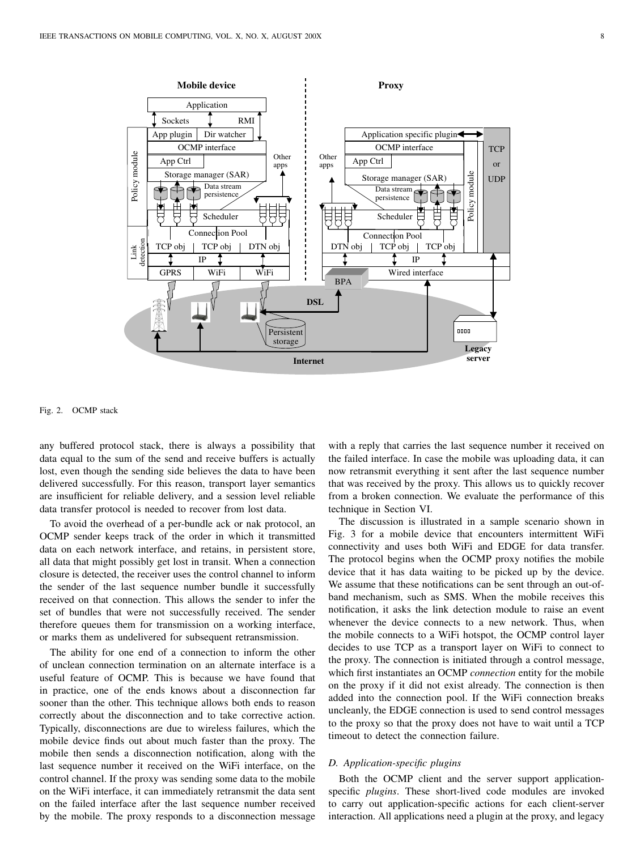

Fig. 2. OCMP stack

any buffered protocol stack, there is always a possibility that data equal to the sum of the send and receive buffers is actually lost, even though the sending side believes the data to have been delivered successfully. For this reason, transport layer semantics are insufficient for reliable delivery, and a session level reliable data transfer protocol is needed to recover from lost data.

To avoid the overhead of a per-bundle ack or nak protocol, an OCMP sender keeps track of the order in which it transmitted data on each network interface, and retains, in persistent store, all data that might possibly get lost in transit. When a connection closure is detected, the receiver uses the control channel to inform the sender of the last sequence number bundle it successfully received on that connection. This allows the sender to infer the set of bundles that were not successfully received. The sender therefore queues them for transmission on a working interface, or marks them as undelivered for subsequent retransmission.

The ability for one end of a connection to inform the other of unclean connection termination on an alternate interface is a useful feature of OCMP. This is because we have found that in practice, one of the ends knows about a disconnection far sooner than the other. This technique allows both ends to reason correctly about the disconnection and to take corrective action. Typically, disconnections are due to wireless failures, which the mobile device finds out about much faster than the proxy. The mobile then sends a disconnection notification, along with the last sequence number it received on the WiFi interface, on the control channel. If the proxy was sending some data to the mobile on the WiFi interface, it can immediately retransmit the data sent on the failed interface after the last sequence number received by the mobile. The proxy responds to a disconnection message with a reply that carries the last sequence number it received on the failed interface. In case the mobile was uploading data, it can now retransmit everything it sent after the last sequence number that was received by the proxy. This allows us to quickly recover from a broken connection. We evaluate the performance of this technique in Section VI.

The discussion is illustrated in a sample scenario shown in Fig. 3 for a mobile device that encounters intermittent WiFi connectivity and uses both WiFi and EDGE for data transfer. The protocol begins when the OCMP proxy notifies the mobile device that it has data waiting to be picked up by the device. We assume that these notifications can be sent through an out-ofband mechanism, such as SMS. When the mobile receives this notification, it asks the link detection module to raise an event whenever the device connects to a new network. Thus, when the mobile connects to a WiFi hotspot, the OCMP control layer decides to use TCP as a transport layer on WiFi to connect to the proxy. The connection is initiated through a control message, which first instantiates an OCMP *connection* entity for the mobile on the proxy if it did not exist already. The connection is then added into the connection pool. If the WiFi connection breaks uncleanly, the EDGE connection is used to send control messages to the proxy so that the proxy does not have to wait until a TCP timeout to detect the connection failure.

# *D. Application-specific plugins*

Both the OCMP client and the server support applicationspecific *plugins*. These short-lived code modules are invoked to carry out application-specific actions for each client-server interaction. All applications need a plugin at the proxy, and legacy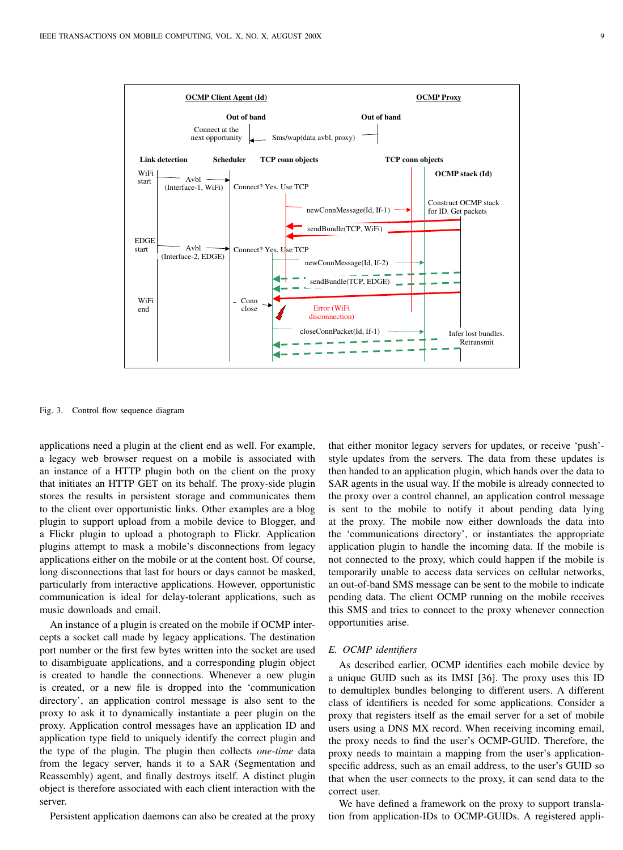

Fig. 3. Control flow sequence diagram

applications need a plugin at the client end as well. For example, a legacy web browser request on a mobile is associated with an instance of a HTTP plugin both on the client on the proxy that initiates an HTTP GET on its behalf. The proxy-side plugin stores the results in persistent storage and communicates them to the client over opportunistic links. Other examples are a blog plugin to support upload from a mobile device to Blogger, and a Flickr plugin to upload a photograph to Flickr. Application plugins attempt to mask a mobile's disconnections from legacy applications either on the mobile or at the content host. Of course, long disconnections that last for hours or days cannot be masked, particularly from interactive applications. However, opportunistic communication is ideal for delay-tolerant applications, such as music downloads and email.

An instance of a plugin is created on the mobile if OCMP intercepts a socket call made by legacy applications. The destination port number or the first few bytes written into the socket are used to disambiguate applications, and a corresponding plugin object is created to handle the connections. Whenever a new plugin is created, or a new file is dropped into the 'communication directory', an application control message is also sent to the proxy to ask it to dynamically instantiate a peer plugin on the proxy. Application control messages have an application ID and application type field to uniquely identify the correct plugin and the type of the plugin. The plugin then collects *one-time* data from the legacy server, hands it to a SAR (Segmentation and Reassembly) agent, and finally destroys itself. A distinct plugin object is therefore associated with each client interaction with the server.

Persistent application daemons can also be created at the proxy

that either monitor legacy servers for updates, or receive 'push' style updates from the servers. The data from these updates is then handed to an application plugin, which hands over the data to SAR agents in the usual way. If the mobile is already connected to the proxy over a control channel, an application control message is sent to the mobile to notify it about pending data lying at the proxy. The mobile now either downloads the data into the 'communications directory', or instantiates the appropriate application plugin to handle the incoming data. If the mobile is not connected to the proxy, which could happen if the mobile is temporarily unable to access data services on cellular networks, an out-of-band SMS message can be sent to the mobile to indicate pending data. The client OCMP running on the mobile receives this SMS and tries to connect to the proxy whenever connection opportunities arise.

#### *E. OCMP identifiers*

As described earlier, OCMP identifies each mobile device by a unique GUID such as its IMSI [36]. The proxy uses this ID to demultiplex bundles belonging to different users. A different class of identifiers is needed for some applications. Consider a proxy that registers itself as the email server for a set of mobile users using a DNS MX record. When receiving incoming email, the proxy needs to find the user's OCMP-GUID. Therefore, the proxy needs to maintain a mapping from the user's applicationspecific address, such as an email address, to the user's GUID so that when the user connects to the proxy, it can send data to the correct user.

We have defined a framework on the proxy to support translation from application-IDs to OCMP-GUIDs. A registered appli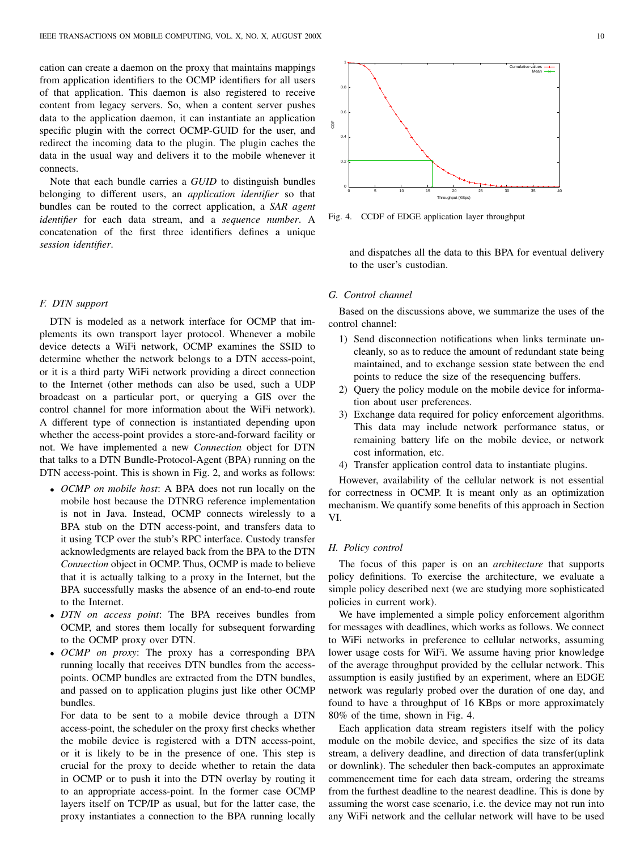cation can create a daemon on the proxy that maintains mappings from application identifiers to the OCMP identifiers for all users of that application. This daemon is also registered to receive content from legacy servers. So, when a content server pushes data to the application daemon, it can instantiate an application specific plugin with the correct OCMP-GUID for the user, and redirect the incoming data to the plugin. The plugin caches the data in the usual way and delivers it to the mobile whenever it connects.

Note that each bundle carries a *GUID* to distinguish bundles belonging to different users, an *application identifier* so that bundles can be routed to the correct application, a *SAR agent identifier* for each data stream, and a *sequence number*. A concatenation of the first three identifiers defines a unique *session identifier*.

# *F. DTN support*

DTN is modeled as a network interface for OCMP that implements its own transport layer protocol. Whenever a mobile device detects a WiFi network, OCMP examines the SSID to determine whether the network belongs to a DTN access-point, or it is a third party WiFi network providing a direct connection to the Internet (other methods can also be used, such a UDP broadcast on a particular port, or querying a GIS over the control channel for more information about the WiFi network). A different type of connection is instantiated depending upon whether the access-point provides a store-and-forward facility or not. We have implemented a new *Connection* object for DTN that talks to a DTN Bundle-Protocol-Agent (BPA) running on the DTN access-point. This is shown in Fig. 2, and works as follows:

- *OCMP on mobile host*: A BPA does not run locally on the mobile host because the DTNRG reference implementation is not in Java. Instead, OCMP connects wirelessly to a BPA stub on the DTN access-point, and transfers data to it using TCP over the stub's RPC interface. Custody transfer acknowledgments are relayed back from the BPA to the DTN *Connection* object in OCMP. Thus, OCMP is made to believe that it is actually talking to a proxy in the Internet, but the BPA successfully masks the absence of an end-to-end route to the Internet.
- *DTN on access point*: The BPA receives bundles from OCMP, and stores them locally for subsequent forwarding to the OCMP proxy over DTN.
- *OCMP on proxy*: The proxy has a corresponding BPA running locally that receives DTN bundles from the accesspoints. OCMP bundles are extracted from the DTN bundles, and passed on to application plugins just like other OCMP bundles.

For data to be sent to a mobile device through a DTN access-point, the scheduler on the proxy first checks whether the mobile device is registered with a DTN access-point, or it is likely to be in the presence of one. This step is crucial for the proxy to decide whether to retain the data in OCMP or to push it into the DTN overlay by routing it to an appropriate access-point. In the former case OCMP layers itself on TCP/IP as usual, but for the latter case, the proxy instantiates a connection to the BPA running locally



Fig. 4. CCDF of EDGE application layer throughput

and dispatches all the data to this BPA for eventual delivery to the user's custodian.

# *G. Control channel*

Based on the discussions above, we summarize the uses of the control channel:

- 1) Send disconnection notifications when links terminate uncleanly, so as to reduce the amount of redundant state being maintained, and to exchange session state between the end points to reduce the size of the resequencing buffers.
- 2) Query the policy module on the mobile device for information about user preferences.
- 3) Exchange data required for policy enforcement algorithms. This data may include network performance status, or remaining battery life on the mobile device, or network cost information, etc.
- 4) Transfer application control data to instantiate plugins.

However, availability of the cellular network is not essential for correctness in OCMP. It is meant only as an optimization mechanism. We quantify some benefits of this approach in Section VI.

## *H. Policy control*

The focus of this paper is on an *architecture* that supports policy definitions. To exercise the architecture, we evaluate a simple policy described next (we are studying more sophisticated policies in current work).

We have implemented a simple policy enforcement algorithm for messages with deadlines, which works as follows. We connect to WiFi networks in preference to cellular networks, assuming lower usage costs for WiFi. We assume having prior knowledge of the average throughput provided by the cellular network. This assumption is easily justified by an experiment, where an EDGE network was regularly probed over the duration of one day, and found to have a throughput of 16 KBps or more approximately 80% of the time, shown in Fig. 4.

Each application data stream registers itself with the policy module on the mobile device, and specifies the size of its data stream, a delivery deadline, and direction of data transfer(uplink or downlink). The scheduler then back-computes an approximate commencement time for each data stream, ordering the streams from the furthest deadline to the nearest deadline. This is done by assuming the worst case scenario, i.e. the device may not run into any WiFi network and the cellular network will have to be used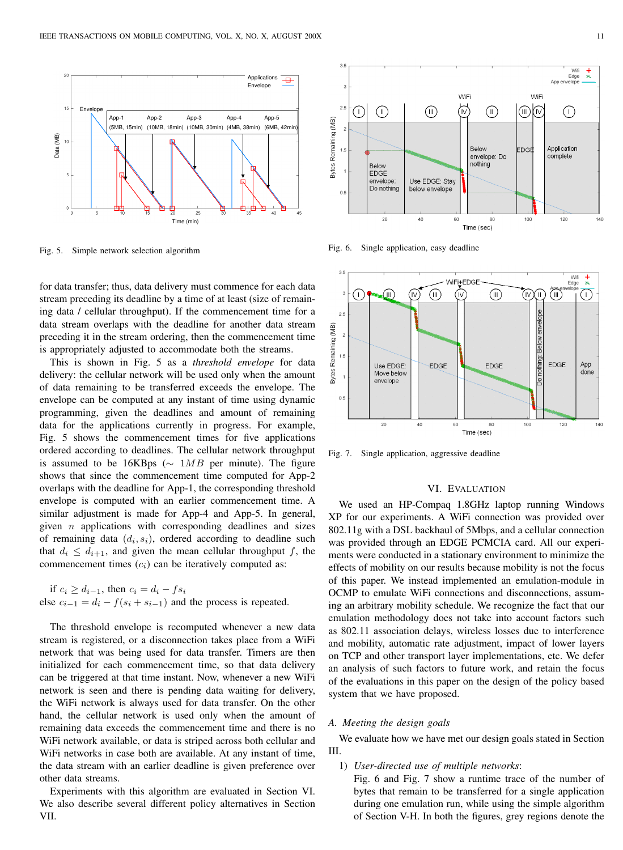

Fig. 5. Simple network selection algorithm

for data transfer; thus, data delivery must commence for each data stream preceding its deadline by a time of at least (size of remaining data / cellular throughput). If the commencement time for a data stream overlaps with the deadline for another data stream preceding it in the stream ordering, then the commencement time is appropriately adjusted to accommodate both the streams.

This is shown in Fig. 5 as a *threshold envelope* for data delivery: the cellular network will be used only when the amount of data remaining to be transferred exceeds the envelope. The envelope can be computed at any instant of time using dynamic programming, given the deadlines and amount of remaining data for the applications currently in progress. For example, Fig. 5 shows the commencement times for five applications ordered according to deadlines. The cellular network throughput is assumed to be 16KBps ( $\sim$  1MB per minute). The figure shows that since the commencement time computed for App-2 overlaps with the deadline for App-1, the corresponding threshold envelope is computed with an earlier commencement time. A similar adjustment is made for App-4 and App-5. In general, given  $n$  applications with corresponding deadlines and sizes of remaining data  $(d_i, s_i)$ , ordered according to deadline such that  $d_i \n\leq d_{i+1}$ , and given the mean cellular throughput f, the commencement times  $(c_i)$  can be iteratively computed as:

if  $c_i \geq d_{i-1}$ , then  $c_i = d_i - fs_i$ else  $c_{i-1} = d_i - f(s_i + s_{i-1})$  and the process is repeated.

The threshold envelope is recomputed whenever a new data stream is registered, or a disconnection takes place from a WiFi network that was being used for data transfer. Timers are then initialized for each commencement time, so that data delivery can be triggered at that time instant. Now, whenever a new WiFi network is seen and there is pending data waiting for delivery, the WiFi network is always used for data transfer. On the other hand, the cellular network is used only when the amount of remaining data exceeds the commencement time and there is no WiFi network available, or data is striped across both cellular and WiFi networks in case both are available. At any instant of time, the data stream with an earlier deadline is given preference over other data streams.

Experiments with this algorithm are evaluated in Section VI. We also describe several different policy alternatives in Section VII.



Fig. 6. Single application, easy deadline



Fig. 7. Single application, aggressive deadline

# VI. EVALUATION

We used an HP-Compaq 1.8GHz laptop running Windows XP for our experiments. A WiFi connection was provided over 802.11g with a DSL backhaul of 5Mbps, and a cellular connection was provided through an EDGE PCMCIA card. All our experiments were conducted in a stationary environment to minimize the effects of mobility on our results because mobility is not the focus of this paper. We instead implemented an emulation-module in OCMP to emulate WiFi connections and disconnections, assuming an arbitrary mobility schedule. We recognize the fact that our emulation methodology does not take into account factors such as 802.11 association delays, wireless losses due to interference and mobility, automatic rate adjustment, impact of lower layers on TCP and other transport layer implementations, etc. We defer an analysis of such factors to future work, and retain the focus of the evaluations in this paper on the design of the policy based system that we have proposed.

#### *A. Meeting the design goals*

We evaluate how we have met our design goals stated in Section III.

1) *User-directed use of multiple networks*:

Fig. 6 and Fig. 7 show a runtime trace of the number of bytes that remain to be transferred for a single application during one emulation run, while using the simple algorithm of Section V-H. In both the figures, grey regions denote the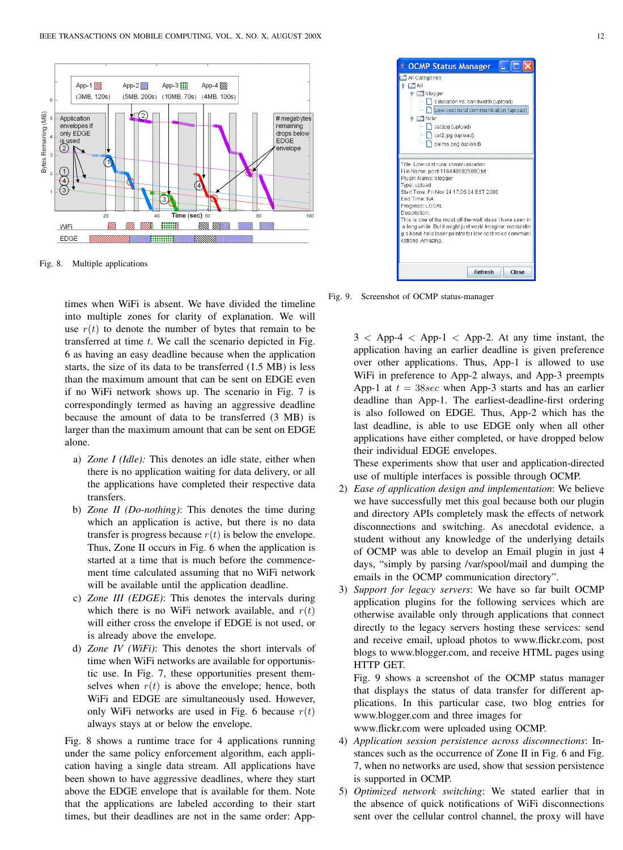

Fig. 8. Multiple applications

times when WiFi is absent. We have divided the timeline into multiple zones for clarity of explanation. We will use  $r(t)$  to denote the number of bytes that remain to be transferred at time  $t$ . We call the scenario depicted in Fig. 6 as having an easy deadline because when the application starts, the size of its data to be transferred (1.5 MB) is less than the maximum amount that can be sent on EDGE even if no WiFi network shows up. The scenario in Fig. 7 is correspondingly termed as having an aggressive deadline because the amount of data to be transferred (3 MB) is larger than the maximum amount that can be sent on EDGE alone.

- a) *Zone I (Idle):* This denotes an idle state, either when there is no application waiting for data delivery, or all the applications have completed their respective data transfers.
- b) *Zone II (Do-nothing)*: This denotes the time during which an application is active, but there is no data transfer is progress because  $r(t)$  is below the envelope. Thus, Zone II occurs in Fig. 6 when the application is started at a time that is much before the commencement time calculated assuming that no WiFi network will be available until the application deadline.
- c) *Zone III (EDGE)*: This denotes the intervals during which there is no WiFi network available, and  $r(t)$ will either cross the envelope if EDGE is not used, or is already above the envelope.
- d) *Zone IV (WiFi)*: This denotes the short intervals of time when WiFi networks are available for opportunistic use. In Fig. 7, these opportunities present themselves when  $r(t)$  is above the envelope; hence, both WiFi and EDGE are simultaneously used. However, only WiFi networks are used in Fig. 6 because  $r(t)$ always stays at or below the envelope.

Fig. 8 shows a runtime trace for 4 applications running under the same policy enforcement algorithm, each application having a single data stream. All applications have been shown to have aggressive deadlines, where they start above the EDGE envelope that is available for them. Note that the applications are labeled according to their start times, but their deadlines are not in the same order: App-



Fig. 9. Screenshot of OCMP status-manager

 $3 <$  App-4  $<$  App-1  $<$  App-2. At any time instant, the application having an earlier deadline is given preference over other applications. Thus, App-1 is allowed to use WiFi in preference to App-2 always, and App-3 preempts App-1 at  $t = 38 \text{sec}$  when App-3 starts and has an earlier deadline than App-1. The earliest-deadline-first ordering is also followed on EDGE. Thus, App-2 which has the last deadline, is able to use EDGE only when all other applications have either completed, or have dropped below their individual EDGE envelopes.

These experiments show that user and application-directed use of multiple interfaces is possible through OCMP.

- 2) *Ease of application design and implementation*: We believe we have successfully met this goal because both our plugin and directory APIs completely mask the effects of network disconnections and switching. As anecdotal evidence, a student without any knowledge of the underlying details of OCMP was able to develop an Email plugin in just 4 days, "simply by parsing /var/spool/mail and dumping the emails in the OCMP communication directory".
- 3) *Support for legacy servers*: We have so far built OCMP application plugins for the following services which are otherwise available only through applications that connect directly to the legacy servers hosting these services: send and receive email, upload photos to www.flickr.com, post blogs to www.blogger.com, and receive HTML pages using HTTP GET.

Fig. 9 shows a screenshot of the OCMP status manager that displays the status of data transfer for different applications. In this particular case, two blog entries for www.blogger.com and three images for

www.flickr.com were uploaded using OCMP.

- 4) *Application session persistence across disconnections*: Instances such as the occurrence of Zone II in Fig. 6 and Fig. 7, when no networks are used, show that session persistence is supported in OCMP.
- 5) *Optimized network switching*: We stated earlier that in the absence of quick notifications of WiFi disconnections sent over the cellular control channel, the proxy will have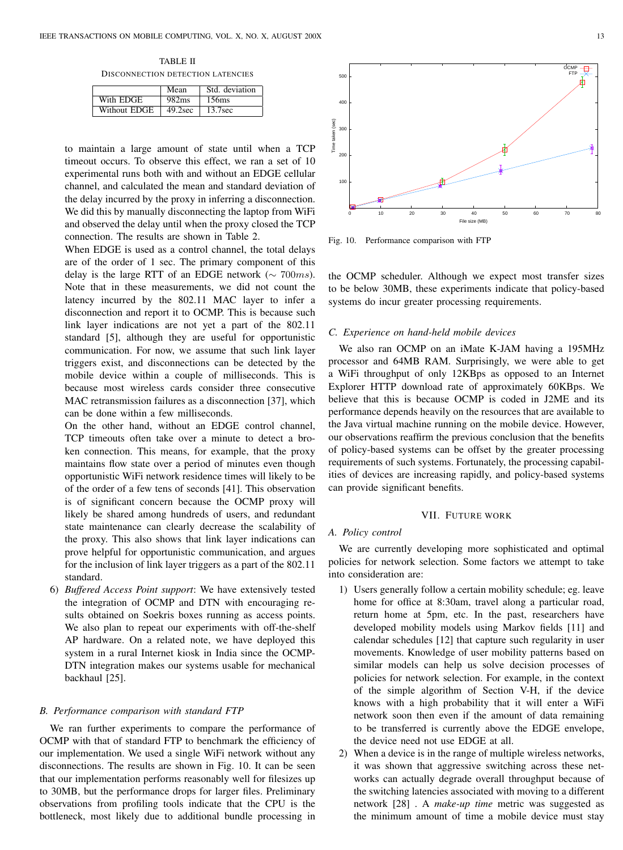TABLE II DISCONNECTION DETECTION LATENCIES

|              | Mean              | Std. deviation      |
|--------------|-------------------|---------------------|
| With EDGE    | 982 <sub>ms</sub> | 156ms               |
| Without EDGE | 49.2sec           | 13.7 <sub>sec</sub> |

to maintain a large amount of state until when a TCP timeout occurs. To observe this effect, we ran a set of 10 experimental runs both with and without an EDGE cellular channel, and calculated the mean and standard deviation of the delay incurred by the proxy in inferring a disconnection. We did this by manually disconnecting the laptop from WiFi and observed the delay until when the proxy closed the TCP connection. The results are shown in Table 2.

When EDGE is used as a control channel, the total delays are of the order of 1 sec. The primary component of this delay is the large RTT of an EDGE network ( $\sim$  700ms). Note that in these measurements, we did not count the latency incurred by the 802.11 MAC layer to infer a disconnection and report it to OCMP. This is because such link layer indications are not yet a part of the 802.11 standard [5], although they are useful for opportunistic communication. For now, we assume that such link layer triggers exist, and disconnections can be detected by the mobile device within a couple of milliseconds. This is because most wireless cards consider three consecutive MAC retransmission failures as a disconnection [37], which can be done within a few milliseconds.

On the other hand, without an EDGE control channel, TCP timeouts often take over a minute to detect a broken connection. This means, for example, that the proxy maintains flow state over a period of minutes even though opportunistic WiFi network residence times will likely to be of the order of a few tens of seconds [41]. This observation is of significant concern because the OCMP proxy will likely be shared among hundreds of users, and redundant state maintenance can clearly decrease the scalability of the proxy. This also shows that link layer indications can prove helpful for opportunistic communication, and argues for the inclusion of link layer triggers as a part of the 802.11 standard.

6) *Buffered Access Point support*: We have extensively tested the integration of OCMP and DTN with encouraging results obtained on Soekris boxes running as access points. We also plan to repeat our experiments with off-the-shelf AP hardware. On a related note, we have deployed this system in a rural Internet kiosk in India since the OCMP-DTN integration makes our systems usable for mechanical backhaul [25].

#### *B. Performance comparison with standard FTP*

We ran further experiments to compare the performance of OCMP with that of standard FTP to benchmark the efficiency of our implementation. We used a single WiFi network without any disconnections. The results are shown in Fig. 10. It can be seen that our implementation performs reasonably well for filesizes up to 30MB, but the performance drops for larger files. Preliminary observations from profiling tools indicate that the CPU is the bottleneck, most likely due to additional bundle processing in



Fig. 10. Performance comparison with FTP

the OCMP scheduler. Although we expect most transfer sizes to be below 30MB, these experiments indicate that policy-based systems do incur greater processing requirements.

#### *C. Experience on hand-held mobile devices*

We also ran OCMP on an iMate K-JAM having a 195MHz processor and 64MB RAM. Surprisingly, we were able to get a WiFi throughput of only 12KBps as opposed to an Internet Explorer HTTP download rate of approximately 60KBps. We believe that this is because OCMP is coded in J2ME and its performance depends heavily on the resources that are available to the Java virtual machine running on the mobile device. However, our observations reaffirm the previous conclusion that the benefits of policy-based systems can be offset by the greater processing requirements of such systems. Fortunately, the processing capabilities of devices are increasing rapidly, and policy-based systems can provide significant benefits.

# VII. FUTURE WORK

## *A. Policy control*

We are currently developing more sophisticated and optimal policies for network selection. Some factors we attempt to take into consideration are:

- 1) Users generally follow a certain mobility schedule; eg. leave home for office at 8:30am, travel along a particular road, return home at 5pm, etc. In the past, researchers have developed mobility models using Markov fields [11] and calendar schedules [12] that capture such regularity in user movements. Knowledge of user mobility patterns based on similar models can help us solve decision processes of policies for network selection. For example, in the context of the simple algorithm of Section V-H, if the device knows with a high probability that it will enter a WiFi network soon then even if the amount of data remaining to be transferred is currently above the EDGE envelope, the device need not use EDGE at all.
- 2) When a device is in the range of multiple wireless networks, it was shown that aggressive switching across these networks can actually degrade overall throughput because of the switching latencies associated with moving to a different network [28] . A *make-up time* metric was suggested as the minimum amount of time a mobile device must stay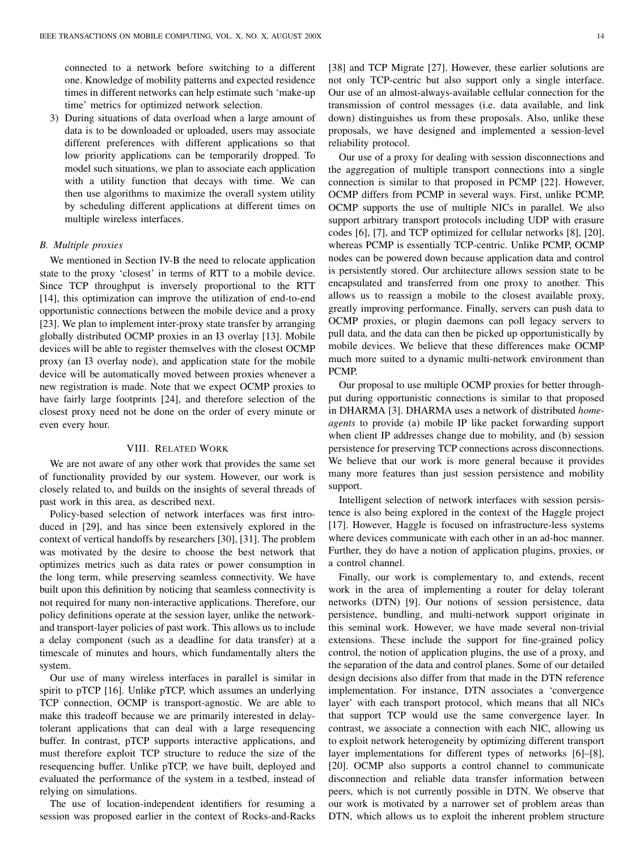connected to a network before switching to a different one. Knowledge of mobility patterns and expected residence times in different networks can help estimate such 'make-up time' metrics for optimized network selection.

3) During situations of data overload when a large amount of data is to be downloaded or uploaded, users may associate different preferences with different applications so that low priority applications can be temporarily dropped. To model such situations, we plan to associate each application with a utility function that decays with time. We can then use algorithms to maximize the overall system utility by scheduling different applications at different times on multiple wireless interfaces.

# *B. Multiple proxies*

We mentioned in Section IV-B the need to relocate application state to the proxy 'closest' in terms of RTT to a mobile device. Since TCP throughput is inversely proportional to the RTT [14], this optimization can improve the utilization of end-to-end opportunistic connections between the mobile device and a proxy [23]. We plan to implement inter-proxy state transfer by arranging globally distributed OCMP proxies in an I3 overlay [13]. Mobile devices will be able to register themselves with the closest OCMP proxy (an I3 overlay node), and application state for the mobile device will be automatically moved between proxies whenever a new registration is made. Note that we expect OCMP proxies to have fairly large footprints [24], and therefore selection of the closest proxy need not be done on the order of every minute or even every hour.

## VIII. RELATED WORK

We are not aware of any other work that provides the same set of functionality provided by our system. However, our work is closely related to, and builds on the insights of several threads of past work in this area, as described next.

Policy-based selection of network interfaces was first introduced in [29], and has since been extensively explored in the context of vertical handoffs by researchers [30], [31]. The problem was motivated by the desire to choose the best network that optimizes metrics such as data rates or power consumption in the long term, while preserving seamless connectivity. We have built upon this definition by noticing that seamless connectivity is not required for many non-interactive applications. Therefore, our policy definitions operate at the session layer, unlike the networkand transport-layer policies of past work. This allows us to include a delay component (such as a deadline for data transfer) at a timescale of minutes and hours, which fundamentally alters the system.

Our use of many wireless interfaces in parallel is similar in spirit to pTCP [16]. Unlike pTCP, which assumes an underlying TCP connection, OCMP is transport-agnostic. We are able to make this tradeoff because we are primarily interested in delaytolerant applications that can deal with a large resequencing buffer. In contrast, pTCP supports interactive applications, and must therefore exploit TCP structure to reduce the size of the resequencing buffer. Unlike pTCP, we have built, deployed and evaluated the performance of the system in a testbed, instead of relying on simulations.

The use of location-independent identifiers for resuming a session was proposed earlier in the context of Rocks-and-Racks [38] and TCP Migrate [27]. However, these earlier solutions are not only TCP-centric but also support only a single interface. Our use of an almost-always-available cellular connection for the transmission of control messages (i.e. data available, and link down) distinguishes us from these proposals. Also, unlike these proposals, we have designed and implemented a session-level reliability protocol.

Our use of a proxy for dealing with session disconnections and the aggregation of multiple transport connections into a single connection is similar to that proposed in PCMP [22]. However, OCMP differs from PCMP in several ways. First, unlike PCMP, OCMP supports the use of multiple NICs in parallel. We also support arbitrary transport protocols including UDP with erasure codes [6], [7], and TCP optimized for cellular networks [8], [20], whereas PCMP is essentially TCP-centric. Unlike PCMP, OCMP nodes can be powered down because application data and control is persistently stored. Our architecture allows session state to be encapsulated and transferred from one proxy to another. This allows us to reassign a mobile to the closest available proxy, greatly improving performance. Finally, servers can push data to OCMP proxies, or plugin daemons can poll legacy servers to pull data, and the data can then be picked up opportunistically by mobile devices. We believe that these differences make OCMP much more suited to a dynamic multi-network environment than PCMP.

Our proposal to use multiple OCMP proxies for better throughput during opportunistic connections is similar to that proposed in DHARMA [3]. DHARMA uses a network of distributed *homeagents* to provide (a) mobile IP like packet forwarding support when client IP addresses change due to mobility, and (b) session persistence for preserving TCP connections across disconnections. We believe that our work is more general because it provides many more features than just session persistence and mobility support.

Intelligent selection of network interfaces with session persistence is also being explored in the context of the Haggle project [17]. However, Haggle is focused on infrastructure-less systems where devices communicate with each other in an ad-hoc manner. Further, they do have a notion of application plugins, proxies, or a control channel.

Finally, our work is complementary to, and extends, recent work in the area of implementing a router for delay tolerant networks (DTN) [9]. Our notions of session persistence, data persistence, bundling, and multi-network support originate in this seminal work. However, we have made several non-trivial extensions. These include the support for fine-grained policy control, the notion of application plugins, the use of a proxy, and the separation of the data and control planes. Some of our detailed design decisions also differ from that made in the DTN reference implementation. For instance, DTN associates a 'convergence layer' with each transport protocol, which means that all NICs that support TCP would use the same convergence layer. In contrast, we associate a connection with each NIC, allowing us to exploit network heterogeneity by optimizing different transport layer implementations for different types of networks [6]–[8], [20]. OCMP also supports a control channel to communicate disconnection and reliable data transfer information between peers, which is not currently possible in DTN. We observe that our work is motivated by a narrower set of problem areas than DTN, which allows us to exploit the inherent problem structure